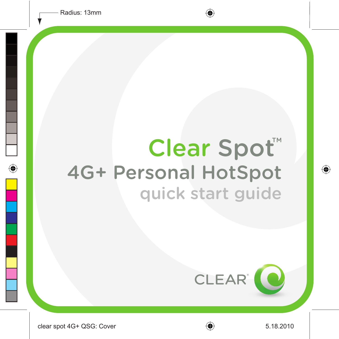# Clear Spot<sup>\*</sup> 4G+ Personal HotSpot quick start guide

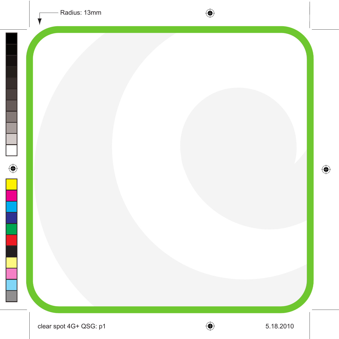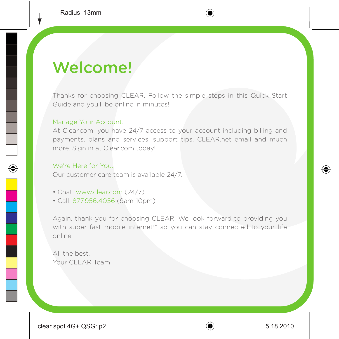### Welcome!

Thanks for choosing CLEAR. Follow the simple steps in this Quick Start Guide and you'll be online in minutes!

#### Manage Your Account.

At Clear.com, you have 24/7 access to your account including billing and payments, plans and services, support tips, CLEAR.net email and much more. Sign in at Clear.com today!

#### We're Here for You.

Our customer care team is available 24/7.

- Chat: www.clear.com (24/7)
- Call: 877.956.4056 (9am-10pm)

Again, thank you for choosing CLEAR. We look forward to providing you with super fast mobile internet™ so you can stay connected to your life online.

All the best, Your CLEAR Team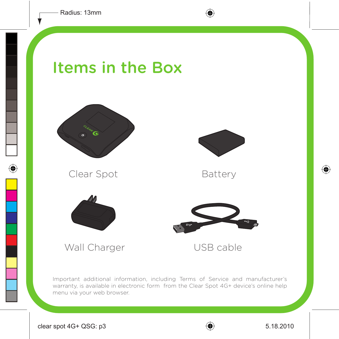#### Items in the Box



Clear Spot



Battery





Wall Charger **USB cable** 

Important additional information, including Terms of Service and manufacturer's warranty, is available in electronic form from the Clear Spot 4G+ device's online help menu via your web browser.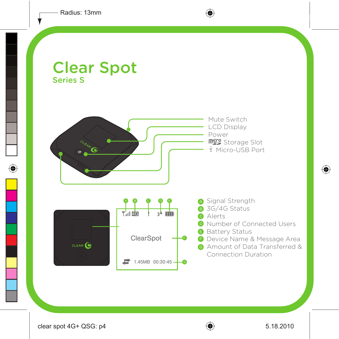#### Clear Spot Series S

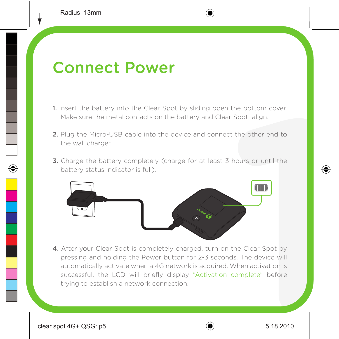#### Connect Power

- 1. Insert the battery into the Clear Spot by sliding open the bottom cover. Make sure the metal contacts on the battery and Clear Spot align.
- 2. Plug the Micro-USB cable into the device and connect the other end to the wall charger.
- **3.** Charge the battery completely (charge for at least 3 hours or until the battery status indicator is full).



4. After your Clear Spot is completely charged, turn on the Clear Spot by pressing and holding the Power button for 2-3 seconds. The device will automatically activate when a 4G network is acquired. When activation is successful, the LCD will briefly display "Activation complete" before trying to establish a network connection.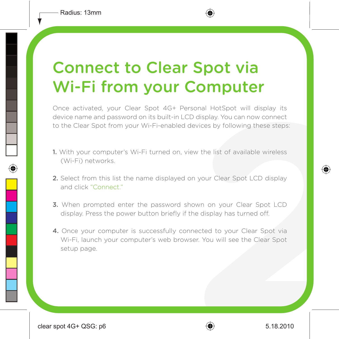### Connect to Clear Spot via Wi-Fi from your Computer

Once activated, your Clear Spot 4G+ Personal HotSpot will display its device name and password on its built-in LCD display. You can now connect to the Clear Spot from your Wi-Fi-enabled devices by following these steps:

- 1. With your computer's Wi-Fi turned on, view the list of available wireless (Wi-Fi) networks.
- 2. Select from this list the name displayed on your Clear Spot LCD display and click "Connect."
- 3. When prompted enter the password shown on your Clear Spot LCD display. Press the power button briefly if the display has turned off.
- 4. Once your computer is successfully connected to your Clear Spot via Wi-Fi, launch your computer's web browser. You will see the Clear Spot setup page.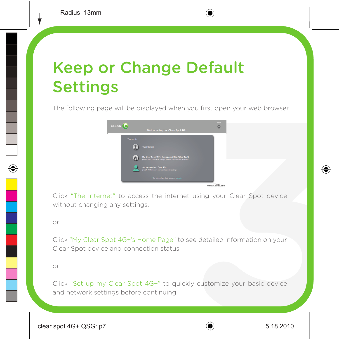# Keep or Change Default Settings

The following page will be displayed when you first open your web browser.



Click "The Internet" to access the internet using your Clear Spot device without changing any settings.

or

Click "My Clear Spot 4G+'s Home Page" to see detailed information on your Clear Spot device and connection status.

or

Click "Set up my Clear Spot 4G+" to quickly customize your basic device and network settings before continuing.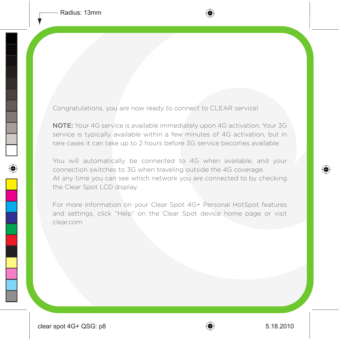Congratulations, you are now ready to connect to CLEAR service!

NOTE: Your 4G service is available immediately upon 4G activation. Your 3G service is typically available within a few minutes of 4G activation, but in rare cases it can take up to 2 hours before 3G service becomes available.

You will automatically be connected to 4G when available, and your connection switches to 3G when traveling outside the 4G coverage. At any time you can see which network you are connected to by checking the Clear Spot LCD display.

For more information on your Clear Spot 4G+ Personal HotSpot features and settings, click "Help" on the Clear Spot device home page or visit clear.com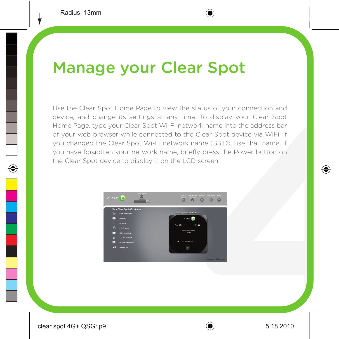### Manage your Clear Spot

Use the Clear Spot Home Page to view the status of your connection and device, and change its settings at any time. To display your Clear Spot Home Page, type your Clear Spot Wi-Fi network name into the address bar of your web browser while connected to the Clear Spot device via WiFi. If you changed the Clear Spot Wi-Fi network name (SSID), use that name. If you have forgotten your network name, briefly press the Power button on the Clear Spot device to display it on the LCD screen.

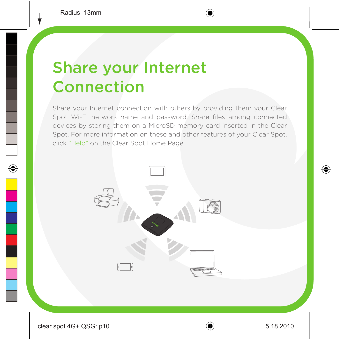## Share your Internet Connection

Share your Internet connection with others by providing them your Clear Spot Wi-Fi network name and password. Share files among connected devices by storing them on a MicroSD memory card inserted in the Clear Spot. For more information on these and other features of your Clear Spot, click "Help" on the Clear Spot Home Page.